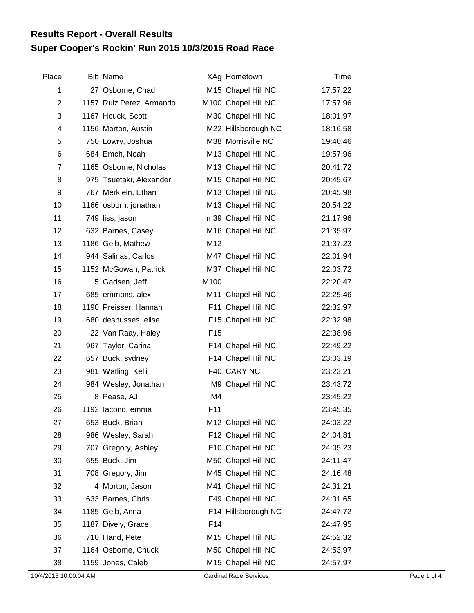## **Super Cooper's Rockin' Run 2015 10/3/2015 Road Race Results Report - Overall Results**

| Place          | <b>Bib Name</b>          |                 | XAg Hometown        | Time     |  |
|----------------|--------------------------|-----------------|---------------------|----------|--|
| 1              | 27 Osborne, Chad         |                 | M15 Chapel Hill NC  | 17:57.22 |  |
| $\mathbf{2}$   | 1157 Ruiz Perez, Armando |                 | M100 Chapel Hill NC | 17:57.96 |  |
| 3              | 1167 Houck, Scott        |                 | M30 Chapel Hill NC  | 18:01.97 |  |
| 4              | 1156 Morton, Austin      |                 | M22 Hillsborough NC | 18:16.58 |  |
| 5              | 750 Lowry, Joshua        |                 | M38 Morrisville NC  | 19:40.46 |  |
| 6              | 684 Emch, Noah           |                 | M13 Chapel Hill NC  | 19:57.96 |  |
| $\overline{7}$ | 1165 Osborne, Nicholas   |                 | M13 Chapel Hill NC  | 20:41.72 |  |
| 8              | 975 Tsuetaki, Alexander  |                 | M15 Chapel Hill NC  | 20:45.67 |  |
| 9              | 767 Merklein, Ethan      |                 | M13 Chapel Hill NC  | 20:45.98 |  |
| 10             | 1166 osborn, jonathan    |                 | M13 Chapel Hill NC  | 20:54.22 |  |
| 11             | 749 liss, jason          |                 | m39 Chapel Hill NC  | 21:17.96 |  |
| 12             | 632 Barnes, Casey        |                 | M16 Chapel Hill NC  | 21:35.97 |  |
| 13             | 1186 Geib, Mathew        | M12             |                     | 21:37.23 |  |
| 14             | 944 Salinas, Carlos      |                 | M47 Chapel Hill NC  | 22:01.94 |  |
| 15             | 1152 McGowan, Patrick    |                 | M37 Chapel Hill NC  | 22:03.72 |  |
| 16             | 5 Gadsen, Jeff           | M100            |                     | 22:20.47 |  |
| 17             | 685 emmons, alex         |                 | M11 Chapel Hill NC  | 22:25.46 |  |
| 18             | 1190 Preisser, Hannah    |                 | F11 Chapel Hill NC  | 22:32.97 |  |
| 19             | 680 deshusses, elise     |                 | F15 Chapel Hill NC  | 22:32.98 |  |
| 20             | 22 Van Raay, Haley       | F <sub>15</sub> |                     | 22:38.96 |  |
| 21             | 967 Taylor, Carina       |                 | F14 Chapel Hill NC  | 22:49.22 |  |
| 22             | 657 Buck, sydney         |                 | F14 Chapel Hill NC  | 23:03.19 |  |
| 23             | 981 Watling, Kelli       |                 | F40 CARY NC         | 23:23.21 |  |
| 24             | 984 Wesley, Jonathan     |                 | M9 Chapel Hill NC   | 23:43.72 |  |
| 25             | 8 Pease, AJ              | M4              |                     | 23:45.22 |  |
| 26             | 1192 lacono, emma        | F11             |                     | 23:45.35 |  |
| 27             | 653 Buck, Brian          |                 | M12 Chapel Hill NC  | 24:03.22 |  |
| 28             | 986 Wesley, Sarah        |                 | F12 Chapel Hill NC  | 24:04.81 |  |
| 29             | 707 Gregory, Ashley      |                 | F10 Chapel Hill NC  | 24:05.23 |  |
| 30             | 655 Buck, Jim            |                 | M50 Chapel Hill NC  | 24:11.47 |  |
| 31             | 708 Gregory, Jim         |                 | M45 Chapel Hill NC  | 24:16.48 |  |
| 32             | 4 Morton, Jason          |                 | M41 Chapel Hill NC  | 24:31.21 |  |
| 33             | 633 Barnes, Chris        |                 | F49 Chapel Hill NC  | 24:31.65 |  |
| 34             | 1185 Geib, Anna          |                 | F14 Hillsborough NC | 24:47.72 |  |
| 35             | 1187 Dively, Grace       | F14             |                     | 24:47.95 |  |
| 36             | 710 Hand, Pete           |                 | M15 Chapel Hill NC  | 24:52.32 |  |
| 37             | 1164 Osborne, Chuck      |                 | M50 Chapel Hill NC  | 24:53.97 |  |
| 38             | 1159 Jones, Caleb        |                 | M15 Chapel Hill NC  | 24:57.97 |  |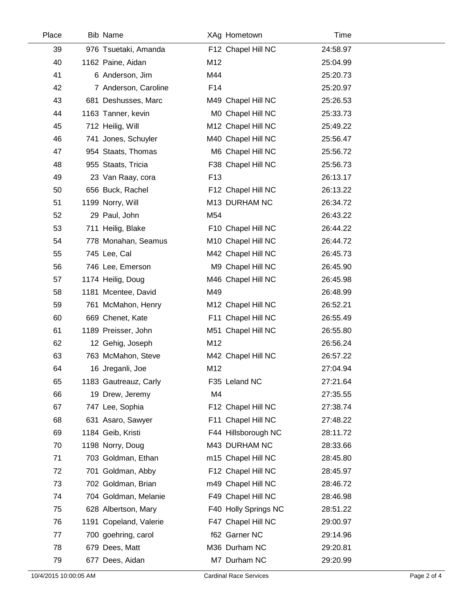| Place | <b>Bib Name</b>        |                 | XAg Hometown         | Time     |  |
|-------|------------------------|-----------------|----------------------|----------|--|
| 39    | 976 Tsuetaki, Amanda   |                 | F12 Chapel Hill NC   | 24:58.97 |  |
| 40    | 1162 Paine, Aidan      | M12             |                      | 25:04.99 |  |
| 41    | 6 Anderson, Jim        | M44             |                      | 25:20.73 |  |
| 42    | 7 Anderson, Caroline   | F14             |                      | 25:20.97 |  |
| 43    | 681 Deshusses, Marc    |                 | M49 Chapel Hill NC   | 25:26.53 |  |
| 44    | 1163 Tanner, kevin     |                 | M0 Chapel Hill NC    | 25:33.73 |  |
| 45    | 712 Heilig, Will       |                 | M12 Chapel Hill NC   | 25:49.22 |  |
| 46    | 741 Jones, Schuyler    |                 | M40 Chapel Hill NC   | 25:56.47 |  |
| 47    | 954 Staats, Thomas     |                 | M6 Chapel Hill NC    | 25:56.72 |  |
| 48    | 955 Staats, Tricia     |                 | F38 Chapel Hill NC   | 25:56.73 |  |
| 49    | 23 Van Raay, cora      | F <sub>13</sub> |                      | 26:13.17 |  |
| 50    | 656 Buck, Rachel       |                 | F12 Chapel Hill NC   | 26:13.22 |  |
| 51    | 1199 Norry, Will       |                 | M13 DURHAM NC        | 26:34.72 |  |
| 52    | 29 Paul, John          | M54             |                      | 26:43.22 |  |
| 53    | 711 Heilig, Blake      |                 | F10 Chapel Hill NC   | 26:44.22 |  |
| 54    | 778 Monahan, Seamus    |                 | M10 Chapel Hill NC   | 26:44.72 |  |
| 55    | 745 Lee, Cal           |                 | M42 Chapel Hill NC   | 26:45.73 |  |
| 56    | 746 Lee, Emerson       |                 | M9 Chapel Hill NC    | 26:45.90 |  |
| 57    | 1174 Heilig, Doug      |                 | M46 Chapel Hill NC   | 26:45.98 |  |
| 58    | 1181 Mcentee, David    | M49             |                      | 26:48.99 |  |
| 59    | 761 McMahon, Henry     |                 | M12 Chapel Hill NC   | 26:52.21 |  |
| 60    | 669 Chenet, Kate       |                 | F11 Chapel Hill NC   | 26:55.49 |  |
| 61    | 1189 Preisser, John    |                 | M51 Chapel Hill NC   | 26:55.80 |  |
| 62    | 12 Gehig, Joseph       | M12             |                      | 26:56.24 |  |
| 63    | 763 McMahon, Steve     |                 | M42 Chapel Hill NC   | 26:57.22 |  |
| 64    | 16 Jreganli, Joe       | M12             |                      | 27:04.94 |  |
| 65    | 1183 Gautreauz, Carly  |                 | F35 Leland NC        | 27:21.64 |  |
| 66    | 19 Drew, Jeremy        | M4              |                      | 27:35.55 |  |
| 67    | 747 Lee, Sophia        |                 | F12 Chapel Hill NC   | 27:38.74 |  |
| 68    | 631 Asaro, Sawyer      |                 | F11 Chapel Hill NC   | 27:48.22 |  |
| 69    | 1184 Geib, Kristi      |                 | F44 Hillsborough NC  | 28:11.72 |  |
| 70    | 1198 Norry, Doug       |                 | M43 DURHAM NC        | 28:33.66 |  |
| 71    | 703 Goldman, Ethan     |                 | m15 Chapel Hill NC   | 28:45.80 |  |
| 72    | 701 Goldman, Abby      |                 | F12 Chapel Hill NC   | 28:45.97 |  |
| 73    | 702 Goldman, Brian     |                 | m49 Chapel Hill NC   | 28:46.72 |  |
| 74    | 704 Goldman, Melanie   |                 | F49 Chapel Hill NC   | 28:46.98 |  |
| 75    | 628 Albertson, Mary    |                 | F40 Holly Springs NC | 28:51.22 |  |
| 76    | 1191 Copeland, Valerie |                 | F47 Chapel Hill NC   | 29:00.97 |  |
| 77    | 700 goehring, carol    |                 | f62 Garner NC        | 29:14.96 |  |
| 78    | 679 Dees, Matt         |                 | M36 Durham NC        | 29:20.81 |  |
| 79    | 677 Dees, Aidan        |                 | M7 Durham NC         | 29:20.99 |  |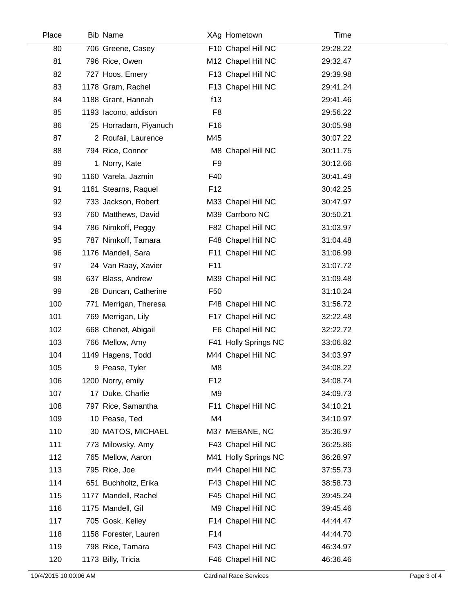| Place | <b>Bib Name</b>        |                 | XAg Hometown         | Time     |  |
|-------|------------------------|-----------------|----------------------|----------|--|
| 80    | 706 Greene, Casey      |                 | F10 Chapel Hill NC   | 29:28.22 |  |
| 81    | 796 Rice, Owen         |                 | M12 Chapel Hill NC   | 29:32.47 |  |
| 82    | 727 Hoos, Emery        |                 | F13 Chapel Hill NC   | 29:39.98 |  |
| 83    | 1178 Gram, Rachel      |                 | F13 Chapel Hill NC   | 29:41.24 |  |
| 84    | 1188 Grant, Hannah     | f13             |                      | 29:41.46 |  |
| 85    | 1193 Iacono, addison   | F <sub>8</sub>  |                      | 29:56.22 |  |
| 86    | 25 Horradarn, Piyanuch | F <sub>16</sub> |                      | 30:05.98 |  |
| 87    | 2 Roufail, Laurence    | M45             |                      | 30:07.22 |  |
| 88    | 794 Rice, Connor       |                 | M8 Chapel Hill NC    | 30:11.75 |  |
| 89    | 1 Norry, Kate          | F <sub>9</sub>  |                      | 30:12.66 |  |
| 90    | 1160 Varela, Jazmin    | F40             |                      | 30:41.49 |  |
| 91    | 1161 Stearns, Raquel   | F <sub>12</sub> |                      | 30:42.25 |  |
| 92    | 733 Jackson, Robert    |                 | M33 Chapel Hill NC   | 30:47.97 |  |
| 93    | 760 Matthews, David    |                 | M39 Carrboro NC      | 30:50.21 |  |
| 94    | 786 Nimkoff, Peggy     |                 | F82 Chapel Hill NC   | 31:03.97 |  |
| 95    | 787 Nimkoff, Tamara    |                 | F48 Chapel Hill NC   | 31:04.48 |  |
| 96    | 1176 Mandell, Sara     |                 | F11 Chapel Hill NC   | 31:06.99 |  |
| 97    | 24 Van Raay, Xavier    | F11             |                      | 31:07.72 |  |
| 98    | 637 Blass, Andrew      |                 | M39 Chapel Hill NC   | 31:09.48 |  |
| 99    | 28 Duncan, Catherine   | F <sub>50</sub> |                      | 31:10.24 |  |
| 100   | 771 Merrigan, Theresa  |                 | F48 Chapel Hill NC   | 31:56.72 |  |
| 101   | 769 Merrigan, Lily     |                 | F17 Chapel Hill NC   | 32:22.48 |  |
| 102   | 668 Chenet, Abigail    |                 | F6 Chapel Hill NC    | 32:22.72 |  |
| 103   | 766 Mellow, Amy        |                 | F41 Holly Springs NC | 33:06.82 |  |
| 104   | 1149 Hagens, Todd      |                 | M44 Chapel Hill NC   | 34:03.97 |  |
| 105   | 9 Pease, Tyler         | M <sub>8</sub>  |                      | 34:08.22 |  |
| 106   | 1200 Norry, emily      | F <sub>12</sub> |                      | 34:08.74 |  |
| 107   | 17 Duke, Charlie       | M <sub>9</sub>  |                      | 34:09.73 |  |
| 108   | 797 Rice, Samantha     |                 | F11 Chapel Hill NC   | 34:10.21 |  |
| 109   | 10 Pease, Ted          | M4              |                      | 34:10.97 |  |
| 110   | 30 MATOS, MICHAEL      |                 | M37 MEBANE, NC       | 35:36.97 |  |
| 111   | 773 Milowsky, Amy      |                 | F43 Chapel Hill NC   | 36:25.86 |  |
| 112   | 765 Mellow, Aaron      |                 | M41 Holly Springs NC | 36:28.97 |  |
| 113   | 795 Rice, Joe          |                 | m44 Chapel Hill NC   | 37:55.73 |  |
| 114   | 651 Buchholtz, Erika   |                 | F43 Chapel Hill NC   | 38:58.73 |  |
| 115   | 1177 Mandell, Rachel   |                 | F45 Chapel Hill NC   | 39:45.24 |  |
| 116   | 1175 Mandell, Gil      |                 | M9 Chapel Hill NC    | 39:45.46 |  |
| 117   | 705 Gosk, Kelley       |                 | F14 Chapel Hill NC   | 44:44.47 |  |
| 118   | 1158 Forester, Lauren  | F14             |                      | 44:44.70 |  |
| 119   | 798 Rice, Tamara       |                 | F43 Chapel Hill NC   | 46:34.97 |  |
| 120   | 1173 Billy, Tricia     |                 | F46 Chapel Hill NC   | 46:36.46 |  |